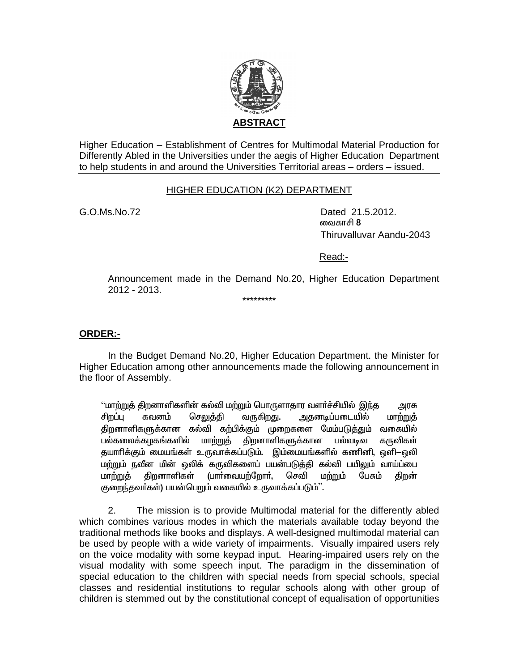

Higher Education - Establishment of Centres for Multimodal Material Production for Differently Abled in the Universities under the aegis of Higher Education Department to help students in and around the Universities Territorial areas – orders – issued.

#### **HIGHER EDUCATION (K2) DEPARTMENT**

 $G.0.Ms.No.72$ 

Dated 21.5.2012. வைகாசி 8 Thiruvalluvar Aandu-2043

Read:-

Announcement made in the Demand No.20, Higher Education Department 2012 - 2013.

\*\*\*\*\*\*\*\*\*

**ORDER:-**

In the Budget Demand No.20, Higher Education Department. the Minister for Higher Education among other announcements made the following announcement in the floor of Assembly.

''மாற்றுத் திறனாளிகளின் கல்வி மற்றும் பொருளாதார வளர்ச்சியில் இந்த அரசு சிறப்பு செலுக்கி வருகிறது. அதனடிப்படையில் கவனம் மாற்றுத் திறனாளிகளுக்கான கல்வி கற்பிக்கும் முறைகளை மேம்படுத்தும் வகையில் பல்கலைக்கழகங்களில் மாற்றுத் திறனாளிகளுக்கான பல்வடிவ கருவிகள் தயாாிக்கும் மையங்கள் உருவாக்கப்படும். இம்மையங்களில் கணினி, ஒளி—ஒலி மற்றும் நவீன மின் ஒலிக் கருவிகளைப் பயன்படுத்தி கல்வி பயிலும் வாய்ப்பை (பார்வையற்றோர், செவி மாற்றுத் திறனாளிகள் மற்றும் பேசும் திறன் குறைந்தவர்கள்) பயன்பெறும் வகையில் உருவாக்கப்படும்''.

 $2.$ The mission is to provide Multimodal material for the differently abled which combines various modes in which the materials available today beyond the traditional methods like books and displays. A well-designed multimodal material can be used by people with a wide variety of impairments. Visually impaired users rely on the voice modality with some keypad input. Hearing-impaired users rely on the visual modality with some speech input. The paradigm in the dissemination of special education to the children with special needs from special schools, special classes and residential institutions to regular schools along with other group of children is stemmed out by the constitutional concept of equalisation of opportunities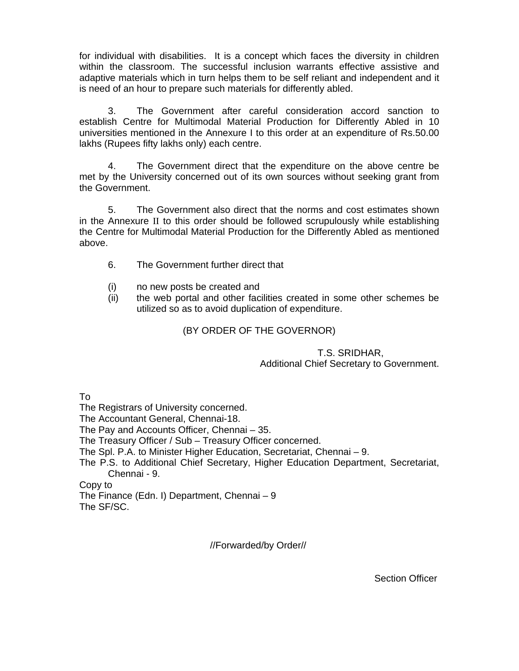for individual with disabilities. It is a concept which faces the diversity in children within the classroom. The successful inclusion warrants effective assistive and adaptive materials which in turn helps them to be self reliant and independent and it is need of an hour to prepare such materials for differently abled.

 3. The Government after careful consideration accord sanction to establish Centre for Multimodal Material Production for Differently Abled in 10 universities mentioned in the Annexure I to this order at an expenditure of Rs.50.00 lakhs (Rupees fifty lakhs only) each centre.

 4. The Government direct that the expenditure on the above centre be met by the University concerned out of its own sources without seeking grant from the Government.

 5. The Government also direct that the norms and cost estimates shown in the Annexure II to this order should be followed scrupulously while establishing the Centre for Multimodal Material Production for the Differently Abled as mentioned above.

- 6. The Government further direct that
- (i) no new posts be created and
- (ii) the web portal and other facilities created in some other schemes be utilized so as to avoid duplication of expenditure.

### (BY ORDER OF THE GOVERNOR)

#### T.S. SRIDHAR, Additional Chief Secretary to Government.

To

The Registrars of University concerned.

The Accountant General, Chennai-18.

The Pay and Accounts Officer, Chennai – 35.

The Treasury Officer / Sub – Treasury Officer concerned.

The Spl. P.A. to Minister Higher Education, Secretariat, Chennai – 9.

The P.S. to Additional Chief Secretary, Higher Education Department, Secretariat, Chennai - 9.

Copy to

The Finance (Edn. I) Department, Chennai – 9 The SF/SC.

//Forwarded/by Order//

Section Officer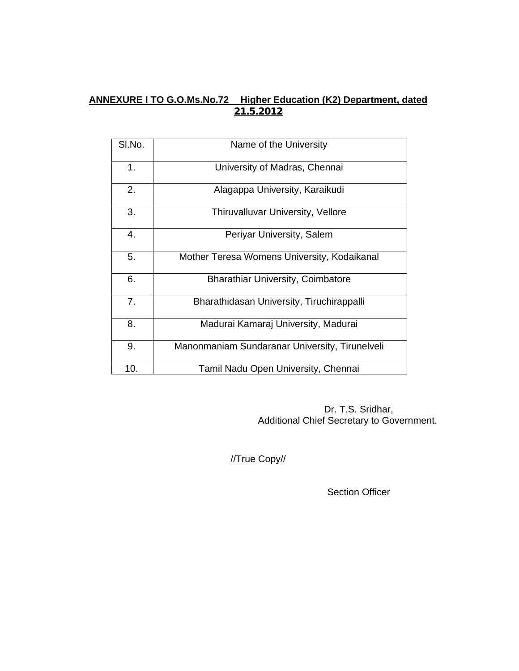# **ANNEXURE I TO G.O.Ms.No.72 Higher Education (K2) Department, dated 21.5.2012**

| SI.No. | Name of the University                         |  |
|--------|------------------------------------------------|--|
| 1.     | University of Madras, Chennai                  |  |
| 2.     | Alagappa University, Karaikudi                 |  |
| 3.     | Thiruvalluvar University, Vellore              |  |
| 4.     | Periyar University, Salem                      |  |
| 5.     | Mother Teresa Womens University, Kodaikanal    |  |
| 6.     | <b>Bharathiar University, Coimbatore</b>       |  |
| 7.     | Bharathidasan University, Tiruchirappalli      |  |
| 8.     | Madurai Kamaraj University, Madurai            |  |
| 9.     | Manonmaniam Sundaranar University, Tirunelveli |  |
| 10.    | Tamil Nadu Open University, Chennai            |  |

 Dr. T.S. Sridhar, Additional Chief Secretary to Government.

//True Copy//

Section Officer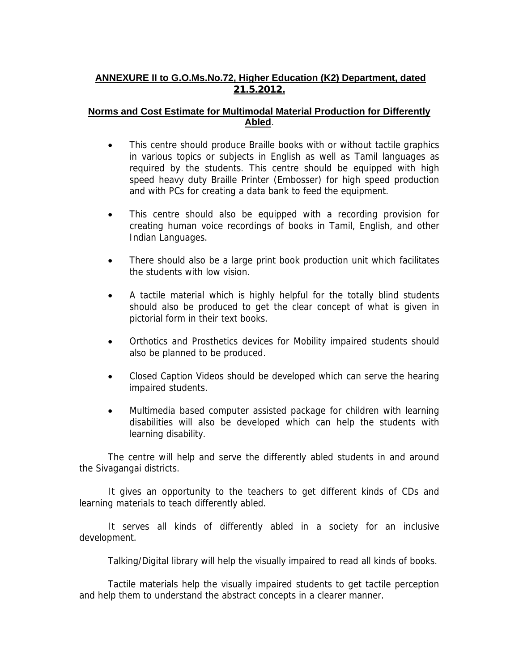## **ANNEXURE II to G.O.Ms.No.72, Higher Education (K2) Department, dated 21.5.2012.**

### **Norms and Cost Estimate for Multimodal Material Production for Differently Abled**.

- This centre should produce Braille books with or without tactile graphics in various topics or subjects in English as well as Tamil languages as required by the students. This centre should be equipped with high speed heavy duty Braille Printer (Embosser) for high speed production and with PCs for creating a data bank to feed the equipment.
- This centre should also be equipped with a recording provision for creating human voice recordings of books in Tamil, English, and other Indian Languages.
- There should also be a large print book production unit which facilitates the students with low vision.
- A tactile material which is highly helpful for the totally blind students should also be produced to get the clear concept of what is given in pictorial form in their text books.
- Orthotics and Prosthetics devices for Mobility impaired students should also be planned to be produced.
- Closed Caption Videos should be developed which can serve the hearing impaired students.
- Multimedia based computer assisted package for children with learning disabilities will also be developed which can help the students with learning disability.

 The centre will help and serve the differently abled students in and around the Sivagangai districts.

 It gives an opportunity to the teachers to get different kinds of CDs and learning materials to teach differently abled.

 It serves all kinds of differently abled in a society for an inclusive development.

Talking/Digital library will help the visually impaired to read all kinds of books.

 Tactile materials help the visually impaired students to get tactile perception and help them to understand the abstract concepts in a clearer manner.